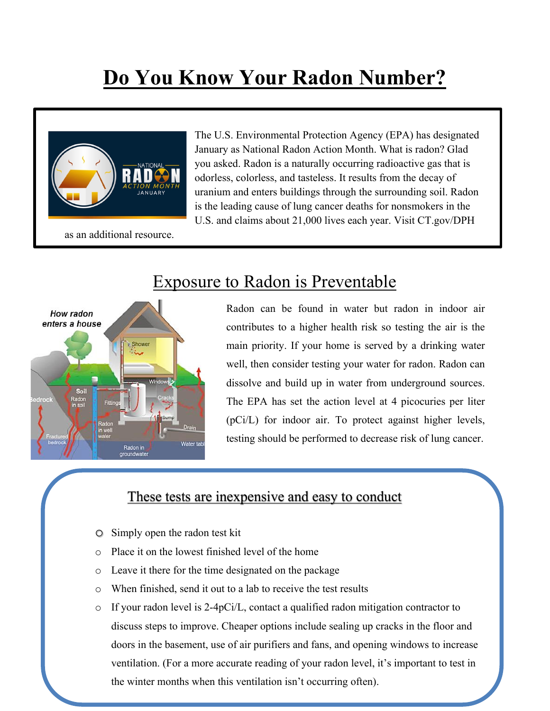## **Do You Know Your Radon Number?**



The U.S. Environmental Protection Agency (EPA) has designated January as National Radon Action Month. What is radon? Glad you asked. Radon is a naturally occurring radioactive gas that is odorless, colorless, and tasteless. It results from the decay of uranium and enters buildings through the surrounding soil. Radon is the leading cause of lung cancer deaths for nonsmokers in the U.S. and claims about 21,000 lives each year. Visit CT.gov/DPH



## Exposure to Radon is Preventable

Radon can be found in water but radon in indoor air contributes to a higher health risk so testing the air is the main priority. If your home is served by a drinking water well, then consider testing your water for radon. Radon can dissolve and build up in water from underground sources. The EPA has set the action level at 4 picocuries per liter (pCi/L) for indoor air. To protect against higher levels, testing should be performed to decrease risk of lung cancer.

## These tests are inexpensive and easy to conduct

- o Simply open the radon test kit
- o Place it on the lowest finished level of the home
- o Leave it there for the time designated on the package
- o When finished, send it out to a lab to receive the test results
- $\circ$  If your radon level is 2-4pCi/L, contact a qualified radon mitigation contractor to discuss steps to improve. Cheaper options include sealing up cracks in the floor and doors in the basement, use of air purifiers and fans, and opening windows to increase ventilation. (For a more accurate reading of your radon level, it's important to test in the winter months when this ventilation isn't occurring often).